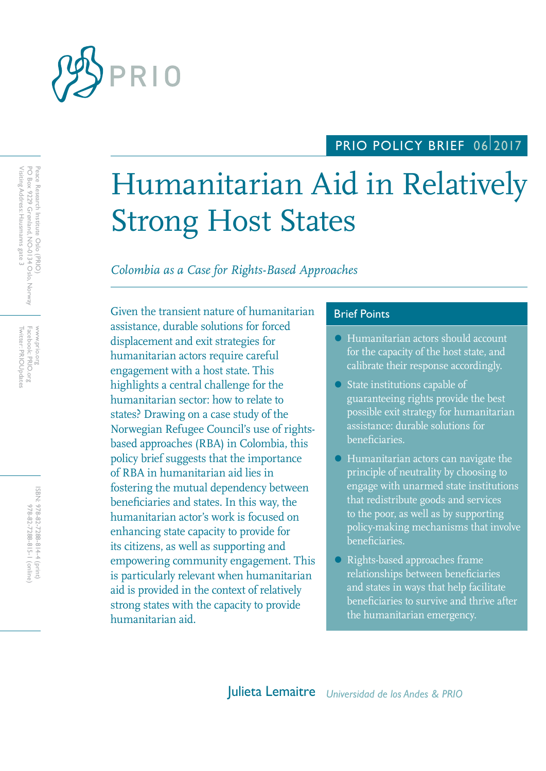

## PRIO POLICY BRIEF 0612017

# Humanitarian Aid in Relatively Strong Host States

*Colombia as a Case for Rights-Based Approaches*

Given the transient nature of humanitarian Brief Points assistance, durable solutions for forced displacement and exit strategies for humanitarian actors require careful engagement with a host state. This highlights a central challenge for the humanitarian sector: how to relate to states? Drawing on a case study of the Norwegian Refugee Council's use of rightsbased approaches (RBA) in Colombia, this policy brief suggests that the importance of RBA in humanitarian aid lies in fostering the mutual dependency between beneficiaries and states. In this way, the humanitarian actor's work is focused on enhancing state capacity to provide for its citizens, as well as supporting and empowering community engagement. This is particularly relevant when humanitarian aid is provided in the context of relatively strong states with the capacity to provide humanitarian aid.

- Humanitarian actors should account for the capacity of the host state, and calibrate their response accordingly.
- State institutions capable of guaranteeing rights provide the best possible exit strategy for humanitarian assistance: durable solutions for beneficiaries.
- Humanitarian actors can navigate the principle of neutrality by choosing to engage with unarmed state institutions that redistribute goods and services to the poor, as well as by supporting policy-making mechanisms that involve beneficiaries.
- Rights-based approaches frame relationships between beneficiaries and states in ways that help facilitate beneficiaries to survive and thrive after the humanitarian emergency.

Twitter: PRIOUpdates Facebook: PRIO.org Twitter: PRIOUpdates Facebook: PRIO.org www.prio.org www.prio.org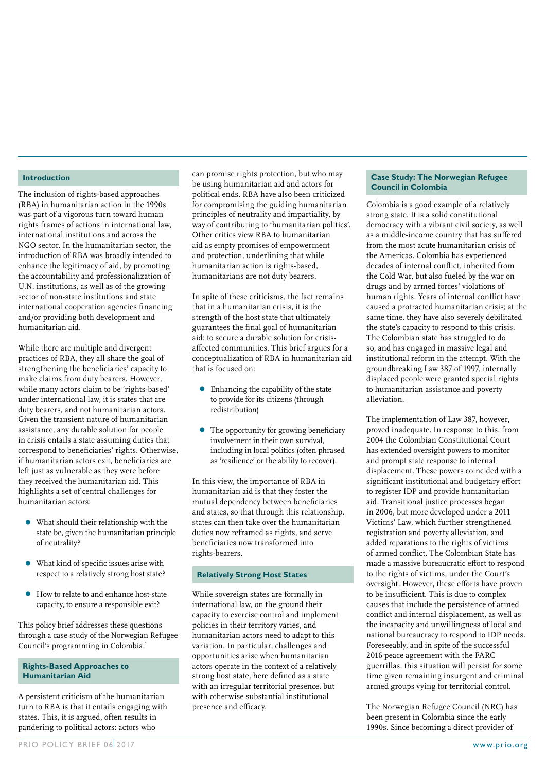#### **Introduction**

The inclusion of rights-based approaches (RBA) in humanitarian action in the 1990s was part of a vigorous turn toward human rights frames of actions in international law, international institutions and across the NGO sector. In the humanitarian sector, the introduction of RBA was broadly intended to enhance the legitimacy of aid, by promoting the accountability and professionalization of U.N. institutions, as well as of the growing sector of non-state institutions and state international cooperation agencies financing and/or providing both development and humanitarian aid.

While there are multiple and divergent practices of RBA, they all share the goal of strengthening the beneficiaries' capacity to make claims from duty bearers. However, while many actors claim to be 'rights-based' under international law, it is states that are duty bearers, and not humanitarian actors. Given the transient nature of humanitarian assistance, any durable solution for people in crisis entails a state assuming duties that correspond to beneficiaries' rights. Otherwise, if humanitarian actors exit, beneficiaries are left just as vulnerable as they were before they received the humanitarian aid. This highlights a set of central challenges for humanitarian actors:

- What should their relationship with the state be, given the humanitarian principle of neutrality?
- What kind of specific issues arise with respect to a relatively strong host state?
- How to relate to and enhance host-state capacity, to ensure a responsible exit?

This policy brief addresses these questions through a case study of the Norwegian Refugee Council's programming in Colombia.1

#### **Rights-Based Approaches to Humanitarian Aid**

A persistent criticism of the humanitarian turn to RBA is that it entails engaging with states. This, it is argued, often results in pandering to political actors: actors who

can promise rights protection, but who may be using humanitarian aid and actors for political ends. RBA have also been criticized for compromising the guiding humanitarian principles of neutrality and impartiality, by way of contributing to 'humanitarian politics'. Other critics view RBA to humanitarian aid as empty promises of empowerment and protection, underlining that while humanitarian action is rights-based, humanitarians are not duty bearers.

In spite of these criticisms, the fact remains that in a humanitarian crisis, it is the strength of the host state that ultimately guarantees the final goal of humanitarian aid: to secure a durable solution for crisisaffected communities. This brief argues for a conceptualization of RBA in humanitarian aid that is focused on:

- Enhancing the capability of the state to provide for its citizens (through redistribution)
- The opportunity for growing beneficiary involvement in their own survival, including in local politics (often phrased as 'resilience' or the ability to recover).

In this view, the importance of RBA in humanitarian aid is that they foster the mutual dependency between beneficiaries and states, so that through this relationship, states can then take over the humanitarian duties now reframed as rights, and serve beneficiaries now transformed into rights-bearers.

#### **Relatively Strong Host States**

While sovereign states are formally in international law, on the ground their capacity to exercise control and implement policies in their territory varies, and humanitarian actors need to adapt to this variation. In particular, challenges and opportunities arise when humanitarian actors operate in the context of a relatively strong host state, here defined as a state with an irregular territorial presence, but with otherwise substantial institutional presence and efficacy.

#### **Case Study: The Norwegian Refugee Council in Colombia**

Colombia is a good example of a relatively strong state. It is a solid constitutional democracy with a vibrant civil society, as well as a middle-income country that has suffered from the most acute humanitarian crisis of the Americas. Colombia has experienced decades of internal conflict, inherited from the Cold War, but also fueled by the war on drugs and by armed forces' violations of human rights. Years of internal conflict have caused a protracted humanitarian crisis; at the same time, they have also severely debilitated the state's capacity to respond to this crisis. The Colombian state has struggled to do so, and has engaged in massive legal and institutional reform in the attempt. With the groundbreaking Law 387 of 1997, internally displaced people were granted special rights to humanitarian assistance and poverty alleviation.

The implementation of Law 387, however, proved inadequate. In response to this, from 2004 the Colombian Constitutional Court has extended oversight powers to monitor and prompt state response to internal displacement. These powers coincided with a significant institutional and budgetary effort to register IDP and provide humanitarian aid. Transitional justice processes began in 2006, but more developed under a 2011 Victims' Law, which further strengthened registration and poverty alleviation, and added reparations to the rights of victims of armed conflict. The Colombian State has made a massive bureaucratic effort to respond to the rights of victims, under the Court's oversight. However, these efforts have proven to be insufficient. This is due to complex causes that include the persistence of armed conflict and internal displacement, as well as the incapacity and unwillingness of local and national bureaucracy to respond to IDP needs. Foreseeably, and in spite of the successful 2016 peace agreement with the FARC guerrillas, this situation will persist for some time given remaining insurgent and criminal armed groups vying for territorial control.

The Norwegian Refugee Council (NRC) has been present in Colombia since the early 1990s. Since becoming a direct provider of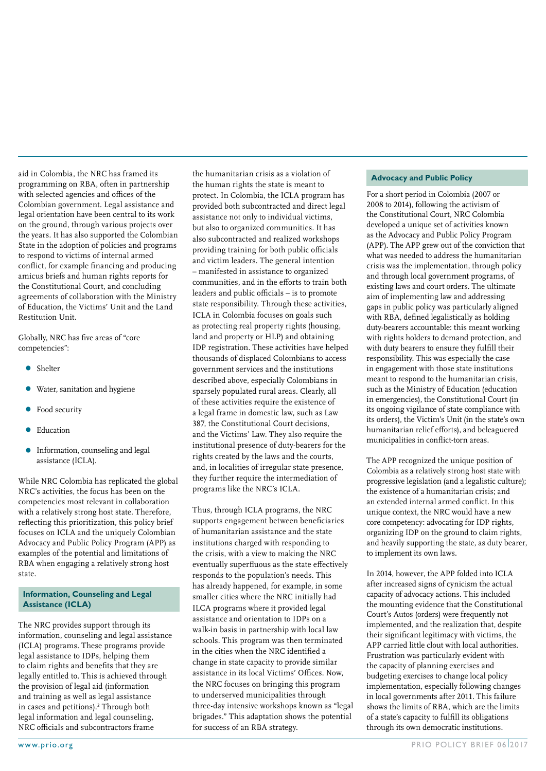aid in Colombia, the NRC has framed its programming on RBA, often in partnership with selected agencies and offices of the Colombian government. Legal assistance and legal orientation have been central to its work on the ground, through various projects over the years. It has also supported the Colombian State in the adoption of policies and programs to respond to victims of internal armed conflict, for example financing and producing amicus briefs and human rights reports for the Constitutional Court, and concluding agreements of collaboration with the Ministry of Education, the Victims' Unit and the Land Restitution Unit.

Globally, NRC has five areas of "core competencies":

- Shelter
- Water, sanitation and hygiene
- Food security
- Education
- Information, counseling and legal assistance (ICLA).

While NRC Colombia has replicated the global NRC's activities, the focus has been on the competencies most relevant in collaboration with a relatively strong host state. Therefore, reflecting this prioritization, this policy brief focuses on ICLA and the uniquely Colombian Advocacy and Public Policy Program (APP) as examples of the potential and limitations of RBA when engaging a relatively strong host state.

#### **Information, Counseling and Legal Assistance (ICLA)**

The NRC provides support through its information, counseling and legal assistance (ICLA) programs. These programs provide legal assistance to IDPs, helping them to claim rights and benefits that they are legally entitled to. This is achieved through the provision of legal aid (information and training as well as legal assistance in cases and petitions).<sup>2</sup> Through both legal information and legal counseling, NRC officials and subcontractors frame

the humanitarian crisis as a violation of the human rights the state is meant to protect. In Colombia, the ICLA program has provided both subcontracted and direct legal assistance not only to individual victims, but also to organized communities. It has also subcontracted and realized workshops providing training for both public officials and victim leaders. The general intention – manifested in assistance to organized communities, and in the efforts to train both leaders and public officials – is to promote state responsibility. Through these activities, ICLA in Colombia focuses on goals such as protecting real property rights (housing, land and property or HLP) and obtaining IDP registration. These activities have helped thousands of displaced Colombians to access government services and the institutions described above, especially Colombians in sparsely populated rural areas. Clearly, all of these activities require the existence of a legal frame in domestic law, such as Law 387, the Constitutional Court decisions, and the Victims' Law. They also require the institutional presence of duty-bearers for the rights created by the laws and the courts, and, in localities of irregular state presence, they further require the intermediation of programs like the NRC's ICLA.

Thus, through ICLA programs, the NRC supports engagement between beneficiaries of humanitarian assistance and the state institutions charged with responding to the crisis, with a view to making the NRC eventually superfluous as the state effectively responds to the population's needs. This has already happened, for example, in some smaller cities where the NRC initially had ILCA programs where it provided legal assistance and orientation to IDPs on a walk-in basis in partnership with local law schools. This program was then terminated in the cities when the NRC identified a change in state capacity to provide similar assistance in its local Victims' Offices. Now, the NRC focuses on bringing this program to underserved municipalities through three-day intensive workshops known as "legal brigades." This adaptation shows the potential for success of an RBA strategy.

#### **Advocacy and Public Policy**

For a short period in Colombia (2007 or 2008 to 2014), following the activism of the Constitutional Court, NRC Colombia developed a unique set of activities known as the Advocacy and Public Policy Program (APP). The APP grew out of the conviction that what was needed to address the humanitarian crisis was the implementation, through policy and through local government programs, of existing laws and court orders. The ultimate aim of implementing law and addressing gaps in public policy was particularly aligned with RBA, defined legalistically as holding duty-bearers accountable: this meant working with rights holders to demand protection, and with duty bearers to ensure they fulfill their responsibility. This was especially the case in engagement with those state institutions meant to respond to the humanitarian crisis, such as the Ministry of Education (education in emergencies), the Constitutional Court (in its ongoing vigilance of state compliance with its orders), the Victim's Unit (in the state's own humanitarian relief efforts), and beleaguered municipalities in conflict-torn areas.

The APP recognized the unique position of Colombia as a relatively strong host state with progressive legislation (and a legalistic culture); the existence of a humanitarian crisis; and an extended internal armed conflict. In this unique context, the NRC would have a new core competency: advocating for IDP rights, organizing IDP on the ground to claim rights, and heavily supporting the state, as duty bearer, to implement its own laws.

In 2014, however, the APP folded into ICLA after increased signs of cynicism the actual capacity of advocacy actions. This included the mounting evidence that the Constitutional Court's Autos (orders) were frequently not implemented, and the realization that, despite their significant legitimacy with victims, the APP carried little clout with local authorities. Frustration was particularly evident with the capacity of planning exercises and budgeting exercises to change local policy implementation, especially following changes in local governments after 2011. This failure shows the limits of RBA, which are the limits of a state's capacity to fulfill its obligations through its own democratic institutions.